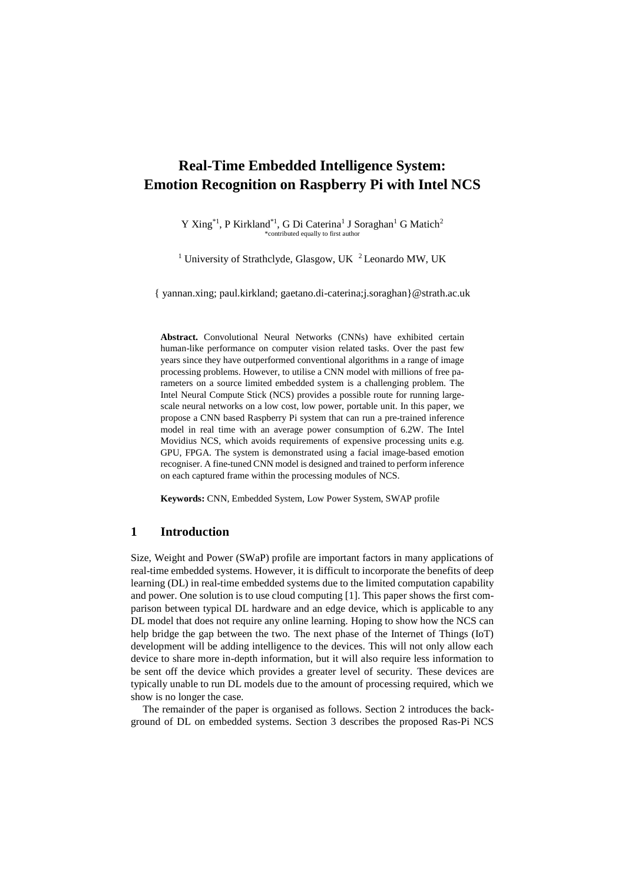# **Real-Time Embedded Intelligence System: Emotion Recognition on Raspberry Pi with Intel NCS**

Y  $\text{Xing}^{*1}$ , P Kirkland<sup>\*1</sup>, G Di Caterina<sup>1</sup> J Soraghan<sup>1</sup> G Matich<sup>2</sup><br>\*contributed equally to first author

<sup>1</sup> University of Strathclyde, Glasgow, UK <sup>2</sup> Leonardo MW, UK

{ yannan.xing; paul.kirkland; gaetano.di-caterina;j.soraghan}@strath.ac.uk

**Abstract.** Convolutional Neural Networks (CNNs) have exhibited certain human-like performance on computer vision related tasks. Over the past few years since they have outperformed conventional algorithms in a range of image processing problems. However, to utilise a CNN model with millions of free parameters on a source limited embedded system is a challenging problem. The Intel Neural Compute Stick (NCS) provides a possible route for running largescale neural networks on a low cost, low power, portable unit. In this paper, we propose a CNN based Raspberry Pi system that can run a pre-trained inference model in real time with an average power consumption of 6.2W. The Intel Movidius NCS, which avoids requirements of expensive processing units e.g. GPU, FPGA. The system is demonstrated using a facial image-based emotion recogniser. A fine-tuned CNN model is designed and trained to perform inference on each captured frame within the processing modules of NCS.

**Keywords:** CNN, Embedded System, Low Power System, SWAP profile

## **1 Introduction**

Size, Weight and Power (SWaP) profile are important factors in many applications of real-time embedded systems. However, it is difficult to incorporate the benefits of deep learning (DL) in real-time embedded systems due to the limited computation capability and power. One solution is to use cloud computing [1]. This paper shows the first comparison between typical DL hardware and an edge device, which is applicable to any DL model that does not require any online learning. Hoping to show how the NCS can help bridge the gap between the two. The next phase of the Internet of Things (IoT) development will be adding intelligence to the devices. This will not only allow each device to share more in-depth information, but it will also require less information to be sent off the device which provides a greater level of security. These devices are typically unable to run DL models due to the amount of processing required, which we show is no longer the case.

The remainder of the paper is organised as follows. Section 2 introduces the background of DL on embedded systems. Section 3 describes the proposed Ras-Pi NCS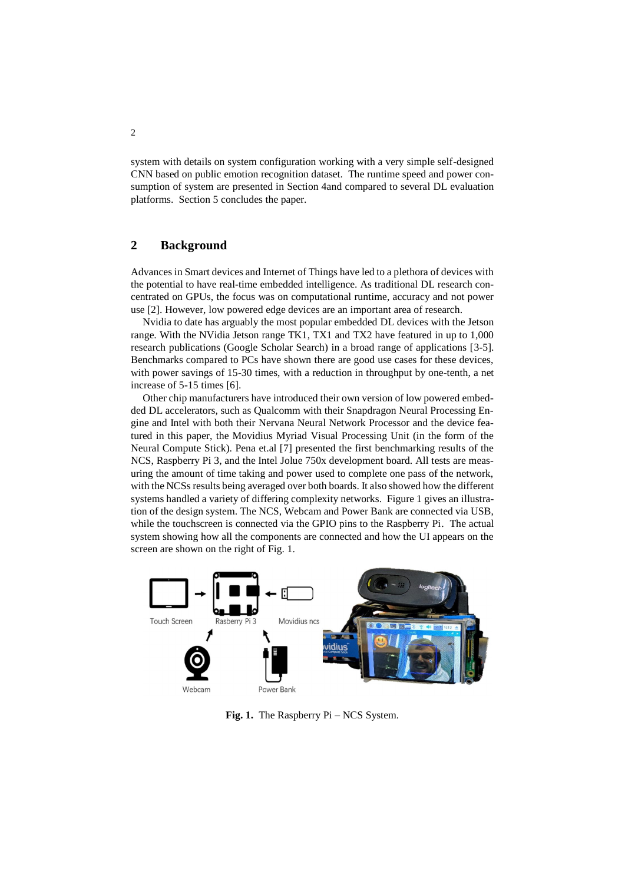system with details on system configuration working with a very simple self-designed CNN based on public emotion recognition dataset. The runtime speed and power consumption of system are presented in Section 4and compared to several DL evaluation platforms. Section 5 concludes the paper.

# **2 Background**

Advances in Smart devices and Internet of Things have led to a plethora of devices with the potential to have real-time embedded intelligence. As traditional DL research concentrated on GPUs, the focus was on computational runtime, accuracy and not power use [2]. However, low powered edge devices are an important area of research.

Nvidia to date has arguably the most popular embedded DL devices with the Jetson range. With the NVidia Jetson range TK1, TX1 and TX2 have featured in up to 1,000 research publications (Google Scholar Search) in a broad range of applications [3-5]. Benchmarks compared to PCs have shown there are good use cases for these devices, with power savings of 15-30 times, with a reduction in throughput by one-tenth, a net increase of 5-15 times [6].

Other chip manufacturers have introduced their own version of low powered embedded DL accelerators, such as Qualcomm with their Snapdragon Neural Processing Engine and Intel with both their Nervana Neural Network Processor and the device featured in this paper, the Movidius Myriad Visual Processing Unit (in the form of the Neural Compute Stick). Pena et.al [7] presented the first benchmarking results of the NCS, Raspberry Pi 3, and the Intel Jolue 750x development board. All tests are measuring the amount of time taking and power used to complete one pass of the network, with the NCSs results being averaged over both boards. It also showed how the different systems handled a variety of differing complexity networks. Figure 1 gives an illustration of the design system. The NCS, Webcam and Power Bank are connected via USB, while the touchscreen is connected via the GPIO pins to the Raspberry Pi. The actual system showing how all the components are connected and how the UI appears on the screen are shown on the right of Fig. 1.



**Fig. 1.** The Raspberry Pi – NCS System.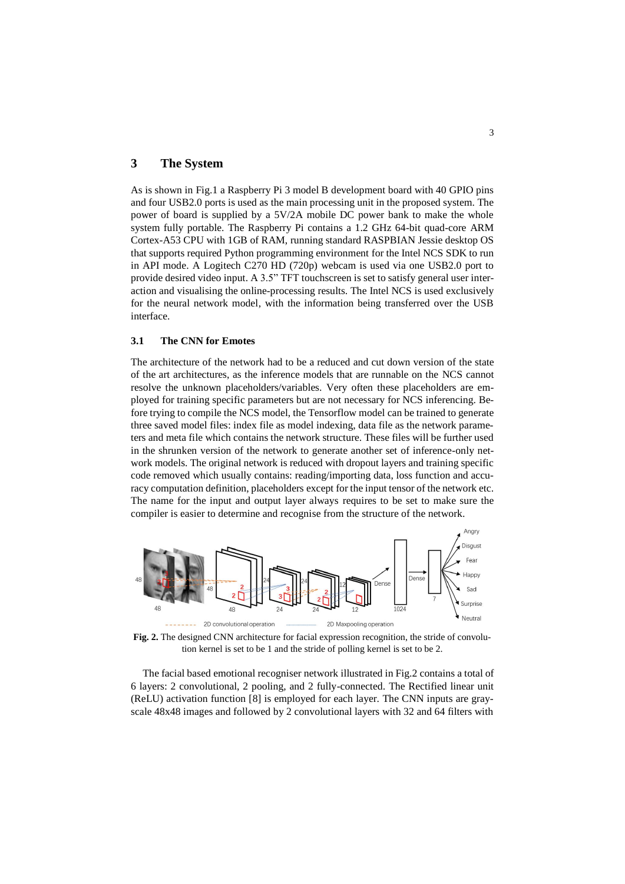### **3 The System**

As is shown in Fig.1 a Raspberry Pi 3 model B development board with 40 GPIO pins and four USB2.0 ports is used as the main processing unit in the proposed system. The power of board is supplied by a 5V/2A mobile DC power bank to make the whole system fully portable. The Raspberry Pi contains a 1.2 GHz 64-bit quad-core ARM Cortex-A53 CPU with 1GB of RAM, running standard RASPBIAN Jessie desktop OS that supports required Python programming environment for the Intel NCS SDK to run in API mode. A Logitech C270 HD (720p) webcam is used via one USB2.0 port to provide desired video input. A 3.5" TFT touchscreen is set to satisfy general user interaction and visualising the online-processing results. The Intel NCS is used exclusively for the neural network model, with the information being transferred over the USB interface.

#### **3.1 The CNN for Emotes**

The architecture of the network had to be a reduced and cut down version of the state of the art architectures, as the inference models that are runnable on the NCS cannot resolve the unknown placeholders/variables. Very often these placeholders are employed for training specific parameters but are not necessary for NCS inferencing. Before trying to compile the NCS model, the Tensorflow model can be trained to generate three saved model files: index file as model indexing, data file as the network parameters and meta file which contains the network structure. These files will be further used in the shrunken version of the network to generate another set of inference-only network models. The original network is reduced with dropout layers and training specific code removed which usually contains: reading/importing data, loss function and accuracy computation definition, placeholders except for the input tensor of the network etc. The name for the input and output layer always requires to be set to make sure the compiler is easier to determine and recognise from the structure of the network.





The facial based emotional recogniser network illustrated in Fig.2 contains a total of 6 layers: 2 convolutional, 2 pooling, and 2 fully-connected. The Rectified linear unit (ReLU) activation function [8] is employed for each layer. The CNN inputs are grayscale 48x48 images and followed by 2 convolutional layers with 32 and 64 filters with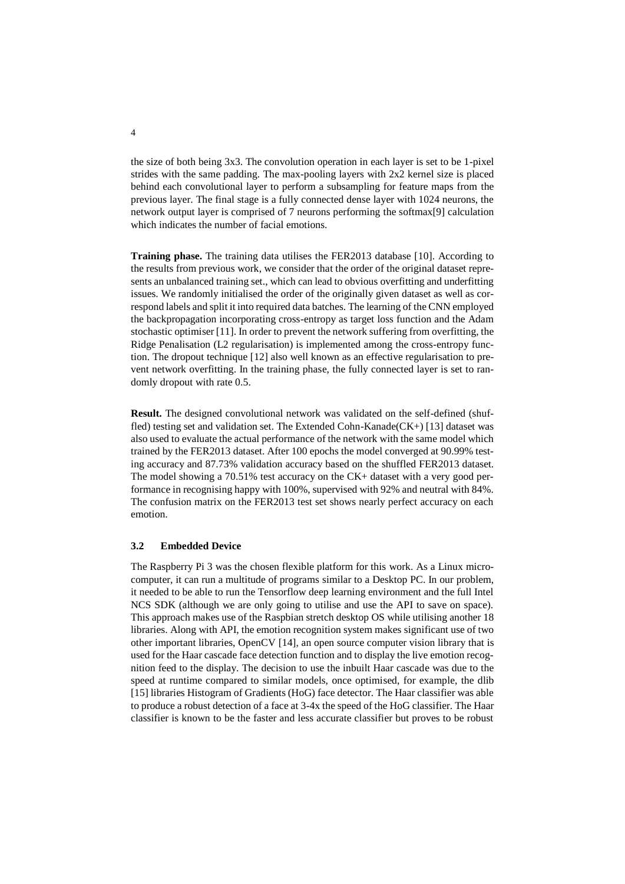the size of both being 3x3. The convolution operation in each layer is set to be 1-pixel strides with the same padding. The max-pooling layers with 2x2 kernel size is placed behind each convolutional layer to perform a subsampling for feature maps from the previous layer. The final stage is a fully connected dense layer with 1024 neurons, the network output layer is comprised of 7 neurons performing the softmax[9] calculation which indicates the number of facial emotions.

**Training phase.** The training data utilises the FER2013 database [10]. According to the results from previous work, we consider that the order of the original dataset represents an unbalanced training set., which can lead to obvious overfitting and underfitting issues. We randomly initialised the order of the originally given dataset as well as correspond labels and split it into required data batches. The learning of the CNN employed the backpropagation incorporating cross-entropy as target loss function and the Adam stochastic optimiser [11]. In order to prevent the network suffering from overfitting, the Ridge Penalisation (L2 regularisation) is implemented among the cross-entropy function. The dropout technique [12] also well known as an effective regularisation to prevent network overfitting. In the training phase, the fully connected layer is set to randomly dropout with rate 0.5.

**Result.** The designed convolutional network was validated on the self-defined (shuffled) testing set and validation set. The Extended Cohn-Kanade( $CK+$ ) [13] dataset was also used to evaluate the actual performance of the network with the same model which trained by the FER2013 dataset. After 100 epochs the model converged at 90.99% testing accuracy and 87.73% validation accuracy based on the shuffled FER2013 dataset. The model showing a 70.51% test accuracy on the CK+ dataset with a very good performance in recognising happy with 100%, supervised with 92% and neutral with 84%. The confusion matrix on the FER2013 test set shows nearly perfect accuracy on each emotion.

### **3.2 Embedded Device**

The Raspberry Pi 3 was the chosen flexible platform for this work. As a Linux microcomputer, it can run a multitude of programs similar to a Desktop PC. In our problem, it needed to be able to run the Tensorflow deep learning environment and the full Intel NCS SDK (although we are only going to utilise and use the API to save on space). This approach makes use of the Raspbian stretch desktop OS while utilising another 18 libraries. Along with API, the emotion recognition system makes significant use of two other important libraries, OpenCV [14], an open source computer vision library that is used for the Haar cascade face detection function and to display the live emotion recognition feed to the display. The decision to use the inbuilt Haar cascade was due to the speed at runtime compared to similar models, once optimised, for example, the dlib [15] libraries Histogram of Gradients (HoG) face detector. The Haar classifier was able to produce a robust detection of a face at 3-4x the speed of the HoG classifier. The Haar classifier is known to be the faster and less accurate classifier but proves to be robust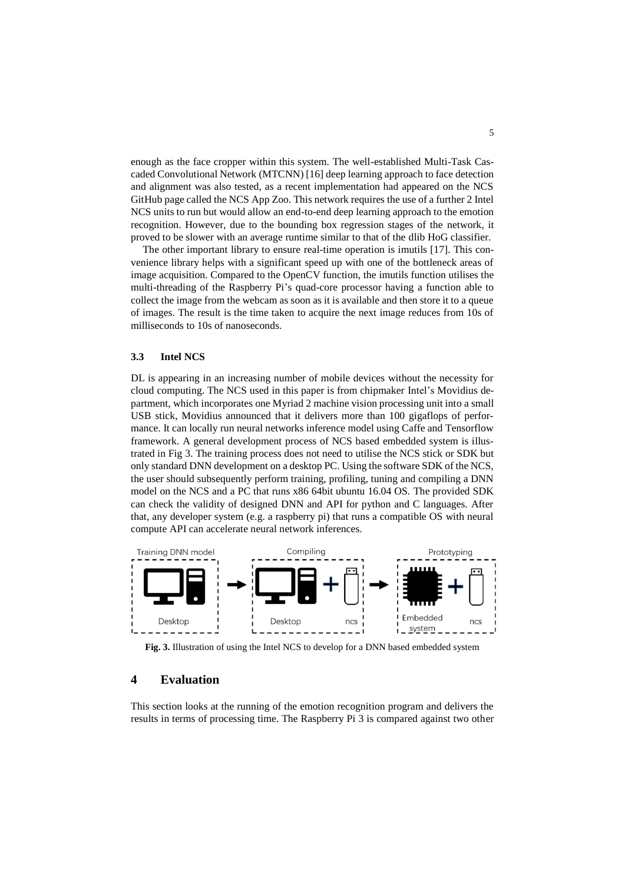enough as the face cropper within this system. The well-established Multi-Task Cascaded Convolutional Network (MTCNN) [16] deep learning approach to face detection and alignment was also tested, as a recent implementation had appeared on the NCS GitHub page called the NCS App Zoo. This network requires the use of a further 2 Intel NCS units to run but would allow an end-to-end deep learning approach to the emotion recognition. However, due to the bounding box regression stages of the network, it proved to be slower with an average runtime similar to that of the dlib HoG classifier.

The other important library to ensure real-time operation is imutils [17]. This convenience library helps with a significant speed up with one of the bottleneck areas of image acquisition. Compared to the OpenCV function, the imutils function utilises the multi-threading of the Raspberry Pi's quad-core processor having a function able to collect the image from the webcam as soon as it is available and then store it to a queue of images. The result is the time taken to acquire the next image reduces from 10s of milliseconds to 10s of nanoseconds.

#### **3.3 Intel NCS**

DL is appearing in an increasing number of mobile devices without the necessity for cloud computing. The NCS used in this paper is from chipmaker Intel's Movidius department, which incorporates one Myriad 2 machine vision processing unit into a small USB stick, Movidius announced that it delivers more than 100 gigaflops of performance. It can locally run neural networks inference model using Caffe and Tensorflow framework. A general development process of NCS based embedded system is illustrated in Fig 3. The training process does not need to utilise the NCS stick or SDK but only standard DNN development on a desktop PC. Using the software SDK of the NCS, the user should subsequently perform training, profiling, tuning and compiling a DNN model on the NCS and a PC that runs x86 64bit ubuntu 16.04 OS. The provided SDK can check the validity of designed DNN and API for python and C languages. After that, any developer system (e.g. a raspberry pi) that runs a compatible OS with neural compute API can accelerate neural network inferences.



**Fig. 3.** Illustration of using the Intel NCS to develop for a DNN based embedded system

### **4 Evaluation**

This section looks at the running of the emotion recognition program and delivers the results in terms of processing time. The Raspberry Pi 3 is compared against two other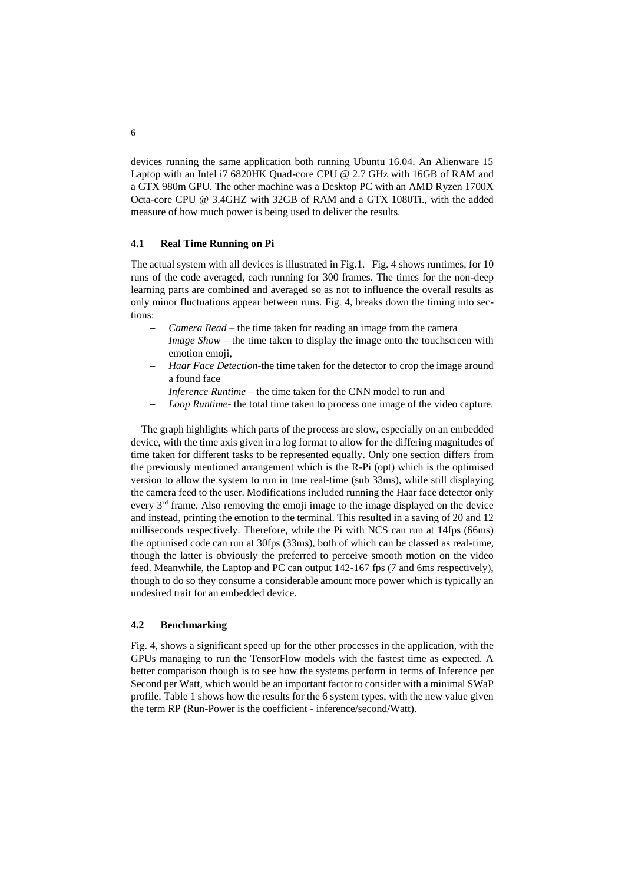devices running the same application both running Ubuntu 16.04. An Alienware 15 Laptop with an Intel i7 6820HK Quad-core CPU @ 2.7 GHz with 16GB of RAM and a GTX 980m GPU. The other machine was a Desktop PC with an AMD Ryzen 1700X Octa-core CPU @ 3.4GHZ with 32GB of RAM and a GTX 1080Ti., with the added measure of how much power is being used to deliver the results.

#### **4.1 Real Time Running on Pi**

The actual system with all devices is illustrated in Fig.1. Fig. 4 shows runtimes, for 10 runs of the code averaged, each running for 300 frames. The times for the non-deep learning parts are combined and averaged so as not to influence the overall results as only minor fluctuations appear between runs. Fig. 4, breaks down the timing into sections:

- *Camera Read* the time taken for reading an image from the camera
- *Image Show* the time taken to display the image onto the touchscreen with emotion emoji,
- *Haar Face Detection*-the time taken for the detector to crop the image around a found face
- *Inference Runtime* the time taken for the CNN model to run and
- *Loop Runtime* the total time taken to process one image of the video capture.

The graph highlights which parts of the process are slow, especially on an embedded device, with the time axis given in a log format to allow for the differing magnitudes of time taken for different tasks to be represented equally. Only one section differs from the previously mentioned arrangement which is the R-Pi (opt) which is the optimised version to allow the system to run in true real-time (sub 33ms), while still displaying the camera feed to the user. Modifications included running the Haar face detector only every 3rd frame. Also removing the emoji image to the image displayed on the device and instead, printing the emotion to the terminal. This resulted in a saving of 20 and 12 milliseconds respectively. Therefore, while the Pi with NCS can run at 14fps (66ms) the optimised code can run at 30fps (33ms), both of which can be classed as real-time, though the latter is obviously the preferred to perceive smooth motion on the video feed. Meanwhile, the Laptop and PC can output 142-167 fps (7 and 6ms respectively), though to do so they consume a considerable amount more power which is typically an undesired trait for an embedded device.

### **4.2 Benchmarking**

Fig. 4, shows a significant speed up for the other processes in the application, with the GPUs managing to run the TensorFlow models with the fastest time as expected. A better comparison though is to see how the systems perform in terms of Inference per Second per Watt, which would be an important factor to consider with a minimal SWaP profile. Table 1 shows how the results for the 6 system types, with the new value given the term RP (Run-Power is the coefficient - inference/second/Watt).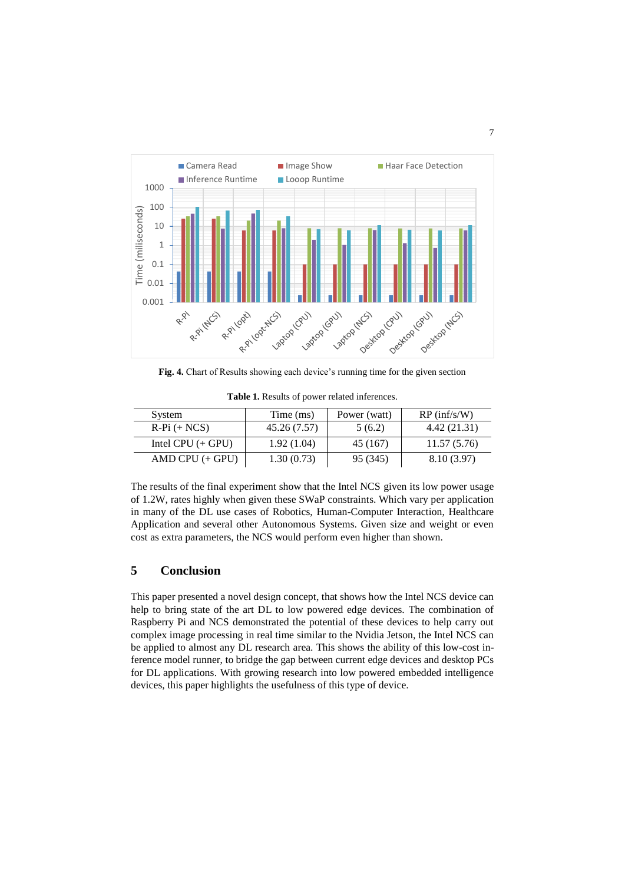

**Fig. 4.** Chart of Results showing each device's running time for the given section

**Table 1.** Results of power related inferences.

| System                 | Time (ms)    | Power (watt) | $RP$ (inf/s/W) |
|------------------------|--------------|--------------|----------------|
| $R-Pi (+ NCS)$         | 45.26 (7.57) | 5(6.2)       | 4.42 (21.31)   |
| Intel CPU $(+$ GPU $)$ | 1.92(1.04)   | 45 (167)     | 11.57(5.76)    |
| $AMD CPU (+ GPU)$      | 1.30(0.73)   | 95 (345)     | 8.10 (3.97)    |

The results of the final experiment show that the Intel NCS given its low power usage of 1.2W, rates highly when given these SWaP constraints. Which vary per application in many of the DL use cases of Robotics, Human-Computer Interaction, Healthcare Application and several other Autonomous Systems. Given size and weight or even cost as extra parameters, the NCS would perform even higher than shown.

# **5 Conclusion**

This paper presented a novel design concept, that shows how the Intel NCS device can help to bring state of the art DL to low powered edge devices. The combination of Raspberry Pi and NCS demonstrated the potential of these devices to help carry out complex image processing in real time similar to the Nvidia Jetson, the Intel NCS can be applied to almost any DL research area. This shows the ability of this low-cost inference model runner, to bridge the gap between current edge devices and desktop PCs for DL applications. With growing research into low powered embedded intelligence devices, this paper highlights the usefulness of this type of device.